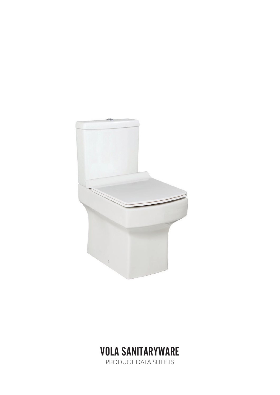



PRODUCT DATA SHEETS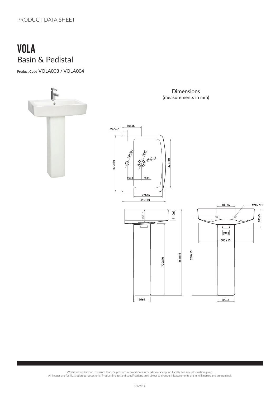### VOLA Basin & Pedistal

Product Code VOLA003 / VOLA004



. Whilst we endeavour to ensure that the product information is accurate we accept no liability for any information given.<br>All images are for illustration purposes only. Product images and specifications are subject to cha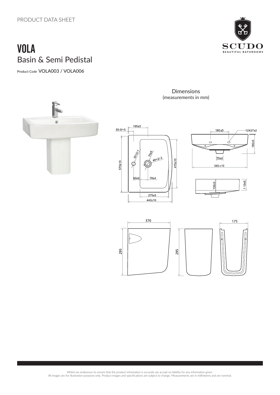# VOLA Basin & Semi Pedistal

Product Code VOLA003 / VOLA006



Dimensions (measurements in mm)







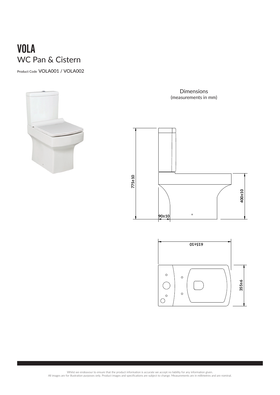## VOLA WC Pan & Cistern

Product Code VOLA001 / VOLA002



Dimensions (measurements in mm)





**430±10 260±10**

**80±5**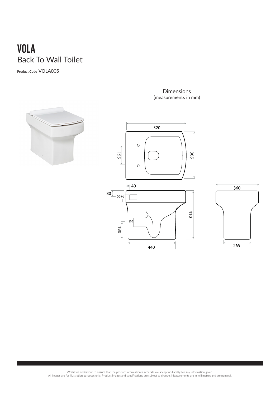## VOLA Back To Wall Toilet

Product Code VOLA005



#### Dimensions (measurements in mm)



. Whilst we endeavour to ensure that the product information is accurate we accept no liability for any information given.<br>All images are for illustration purposes only. Product images and specifications are subject to cha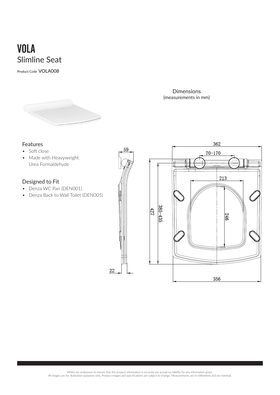### VOLA Slimline Seat

Product Code VOLA008



Dimensions (measurements in mm)

### Features

- Soft close
- Made with Heavyweight Urea Formaldehyde

#### Designed to Fit

- Denza WC Pan (DEN001)
- Denza Back to Wall Toilet (DEN005)



22